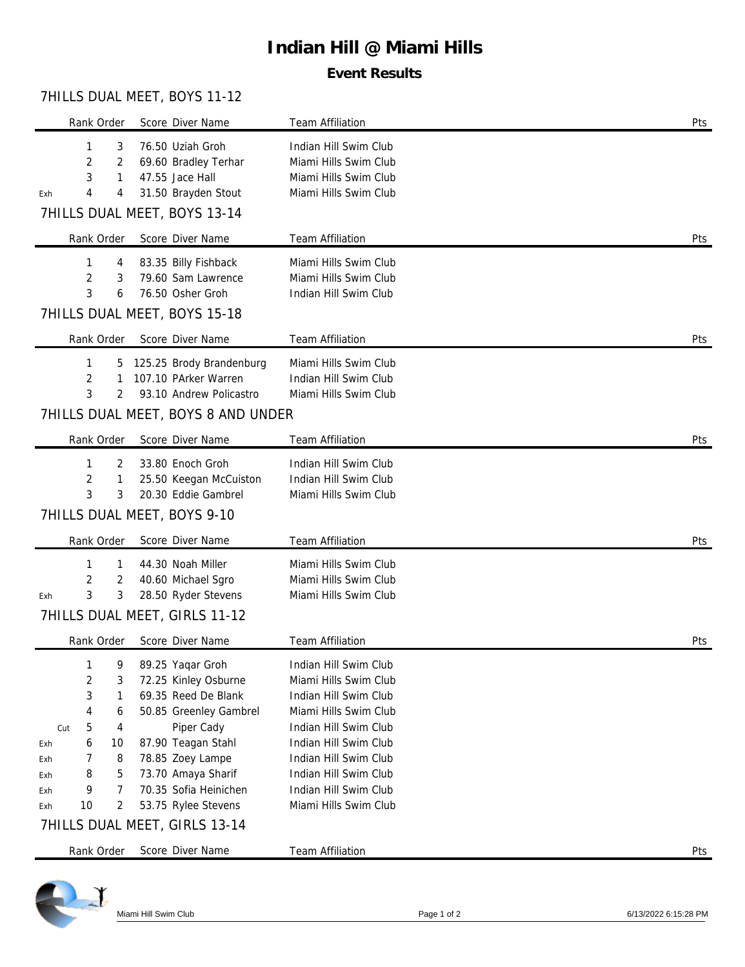# **Indian Hill @ Miami Hills**

### **Event Results**

## 7HILLS DUAL MEET, BOYS 11-12

| Rank Order                                                                                                                                   | Score Diver Name                                                                                                                                                                                                        | Team Affiliation                                                                                                                                                                                                                                       | Pts |
|----------------------------------------------------------------------------------------------------------------------------------------------|-------------------------------------------------------------------------------------------------------------------------------------------------------------------------------------------------------------------------|--------------------------------------------------------------------------------------------------------------------------------------------------------------------------------------------------------------------------------------------------------|-----|
| 3<br>1<br>2<br>2<br>3<br>1<br>4<br>4<br>Exh                                                                                                  | 76.50 Uziah Groh<br>69.60 Bradley Terhar<br>47.55 Jace Hall<br>31.50 Brayden Stout<br>7HILLS DUAL MEET, BOYS 13-14                                                                                                      | Indian Hill Swim Club<br>Miami Hills Swim Club<br>Miami Hills Swim Club<br>Miami Hills Swim Club                                                                                                                                                       |     |
| Rank Order                                                                                                                                   | Score Diver Name                                                                                                                                                                                                        | Team Affiliation                                                                                                                                                                                                                                       | Pts |
| 1<br>4<br>2<br>3<br>3<br>6                                                                                                                   | 83.35 Billy Fishback<br>79.60 Sam Lawrence<br>76.50 Osher Groh<br>7HILLS DUAL MEET, BOYS 15-18                                                                                                                          | Miami Hills Swim Club<br>Miami Hills Swim Club<br>Indian Hill Swim Club                                                                                                                                                                                |     |
| Rank Order                                                                                                                                   | Score Diver Name                                                                                                                                                                                                        | Team Affiliation                                                                                                                                                                                                                                       | Pts |
| 1<br>5<br>2<br>1<br>3<br>2                                                                                                                   | 125.25 Brody Brandenburg<br>107.10 PArker Warren<br>93.10 Andrew Policastro<br>7HILLS DUAL MEET, BOYS 8 AND UNDER                                                                                                       | Miami Hills Swim Club<br>Indian Hill Swim Club<br>Miami Hills Swim Club                                                                                                                                                                                |     |
| Rank Order                                                                                                                                   | Score Diver Name                                                                                                                                                                                                        | <b>Team Affiliation</b>                                                                                                                                                                                                                                | Pts |
| 1<br>2<br>2<br>1<br>3<br>3                                                                                                                   | 33.80 Enoch Groh<br>25.50 Keegan McCuiston<br>20.30 Eddie Gambrel<br>7HILLS DUAL MEET, BOYS 9-10                                                                                                                        | Indian Hill Swim Club<br>Indian Hill Swim Club<br>Miami Hills Swim Club                                                                                                                                                                                |     |
| Rank Order                                                                                                                                   | Score Diver Name                                                                                                                                                                                                        | Team Affiliation                                                                                                                                                                                                                                       | Pts |
| 1<br>1<br>2<br>2<br>3<br>3<br>Exh                                                                                                            | 44.30 Noah Miller<br>40.60 Michael Sgro<br>28.50 Ryder Stevens<br>7HILLS DUAL MEET, GIRLS 11-12                                                                                                                         | Miami Hills Swim Club<br>Miami Hills Swim Club<br>Miami Hills Swim Club                                                                                                                                                                                |     |
| Rank Order                                                                                                                                   | Score Diver Name                                                                                                                                                                                                        | <b>Team Affiliation</b>                                                                                                                                                                                                                                | Pts |
| 1<br>9<br>2<br>3<br>3<br>1<br>4<br>6<br>5<br>4<br>Cut<br>10<br>6<br>Exh<br>7<br>8<br>Exh<br>8<br>5<br>Exh<br>9<br>7<br>Exh<br>10<br>2<br>Exh | 89.25 Yaqar Groh<br>72.25 Kinley Osburne<br>69.35 Reed De Blank<br>50.85 Greenley Gambrel<br>Piper Cady<br>87.90 Teagan Stahl<br>78.85 Zoey Lampe<br>73.70 Amaya Sharif<br>70.35 Sofia Heinichen<br>53.75 Rylee Stevens | Indian Hill Swim Club<br>Miami Hills Swim Club<br>Indian Hill Swim Club<br>Miami Hills Swim Club<br>Indian Hill Swim Club<br>Indian Hill Swim Club<br>Indian Hill Swim Club<br>Indian Hill Swim Club<br>Indian Hill Swim Club<br>Miami Hills Swim Club |     |
|                                                                                                                                              | 7HILLS DUAL MEET, GIRLS 13-14                                                                                                                                                                                           |                                                                                                                                                                                                                                                        |     |
| Rank Order                                                                                                                                   | Score Diver Name                                                                                                                                                                                                        | <b>Team Affiliation</b>                                                                                                                                                                                                                                | Pts |